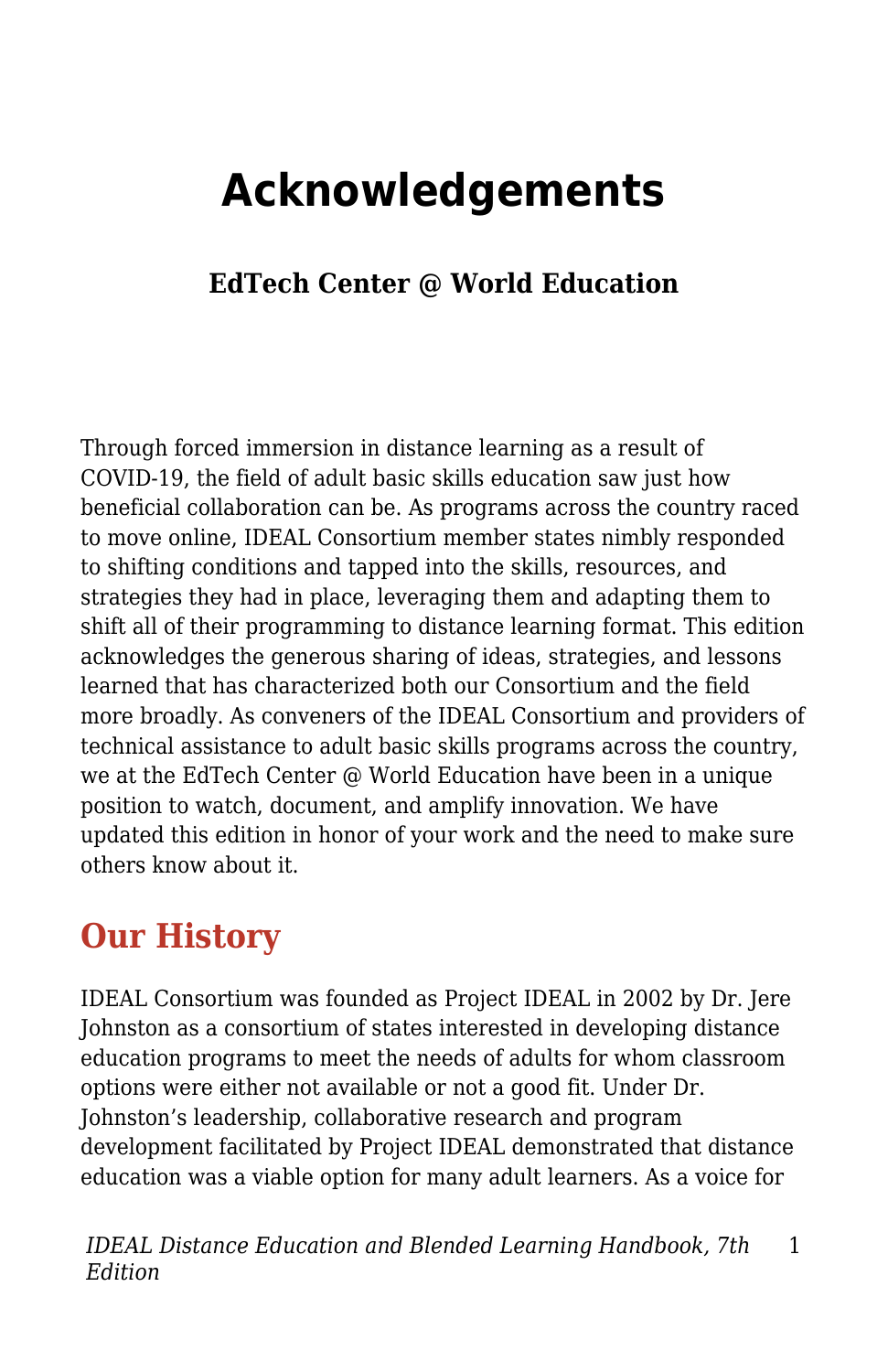## **Acknowledgements**

## **EdTech Center @ World Education**

Through forced immersion in distance learning as a result of COVID-19, the field of adult basic skills education saw just how beneficial collaboration can be. As programs across the country raced to move online, IDEAL Consortium member states nimbly responded to shifting conditions and tapped into the skills, resources, and strategies they had in place, leveraging them and adapting them to shift all of their programming to distance learning format. This edition acknowledges the generous sharing of ideas, strategies, and lessons learned that has characterized both our Consortium and the field more broadly. As conveners of the IDEAL Consortium and providers of technical assistance to adult basic skills programs across the country, we at the EdTech Center @ World Education have been in a unique position to watch, document, and amplify innovation. We have updated this edition in honor of your work and the need to make sure others know about it.

## **Our History**

IDEAL Consortium was founded as Project IDEAL in 2002 by Dr. Jere Johnston as a consortium of states interested in developing distance education programs to meet the needs of adults for whom classroom options were either not available or not a good fit. Under Dr. Johnston's leadership, collaborative research and program development facilitated by Project IDEAL demonstrated that distance education was a viable option for many adult learners. As a voice for

*IDEAL Distance Education and Blended Learning Handbook, 7th Edition* 1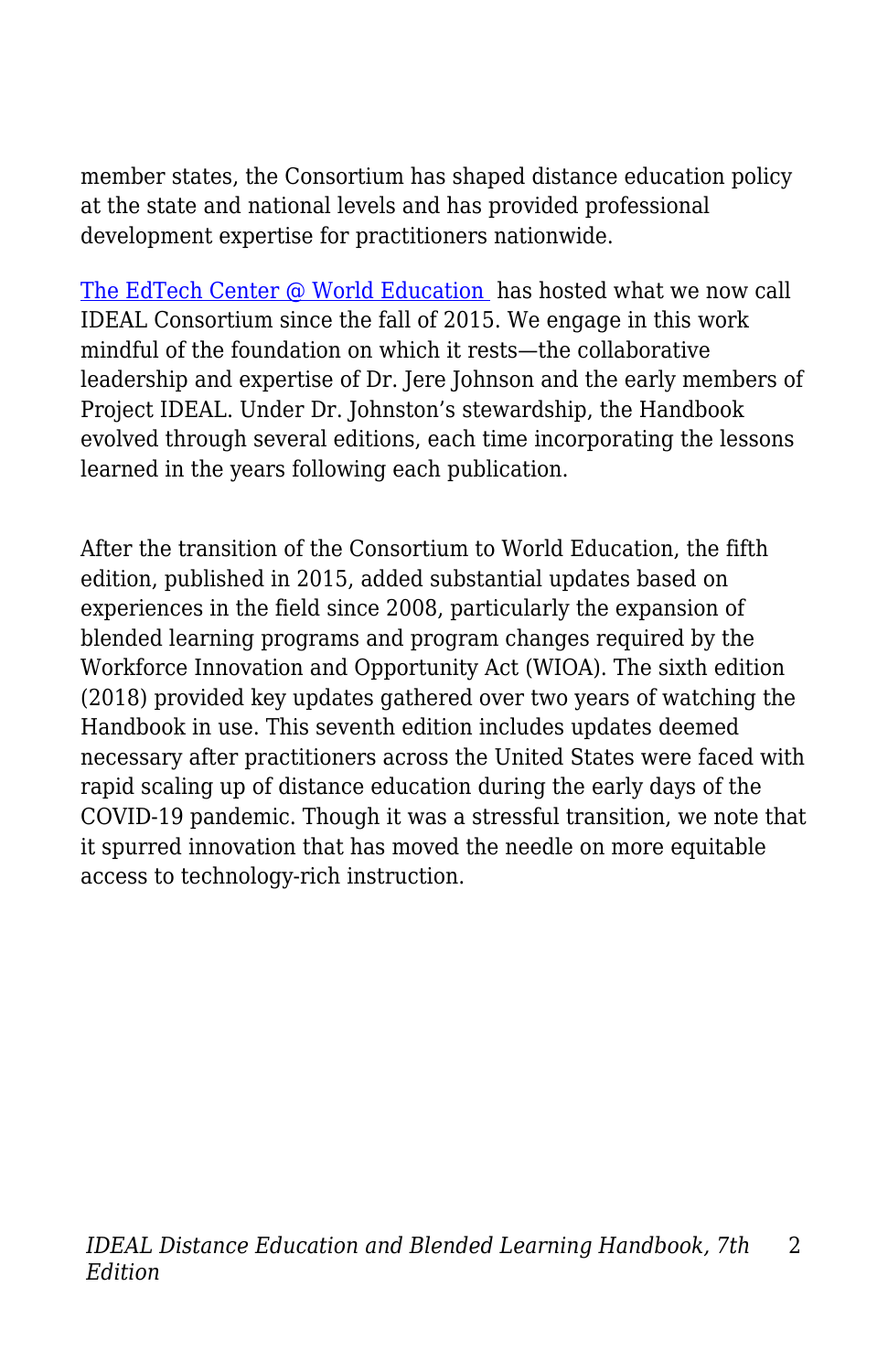member states, the Consortium has shaped distance education policy at the state and national levels and has provided professional development expertise for practitioners nationwide.

[The EdTech Center @ World Education](https://edtech.worlded.org/) has hosted what we now call IDEAL Consortium since the fall of 2015. We engage in this work mindful of the foundation on which it rests—the collaborative leadership and expertise of Dr. Jere Johnson and the early members of Project IDEAL. Under Dr. Johnston's stewardship, the Handbook evolved through several editions, each time incorporating the lessons learned in the years following each publication.

After the transition of the Consortium to World Education, the fifth edition, published in 2015, added substantial updates based on experiences in the field since 2008, particularly the expansion of blended learning programs and program changes required by the Workforce Innovation and Opportunity Act (WIOA). The sixth edition (2018) provided key updates gathered over two years of watching the Handbook in use. This seventh edition includes updates deemed necessary after practitioners across the United States were faced with rapid scaling up of distance education during the early days of the COVID-19 pandemic. Though it was a stressful transition, we note that it spurred innovation that has moved the needle on more equitable access to technology-rich instruction.